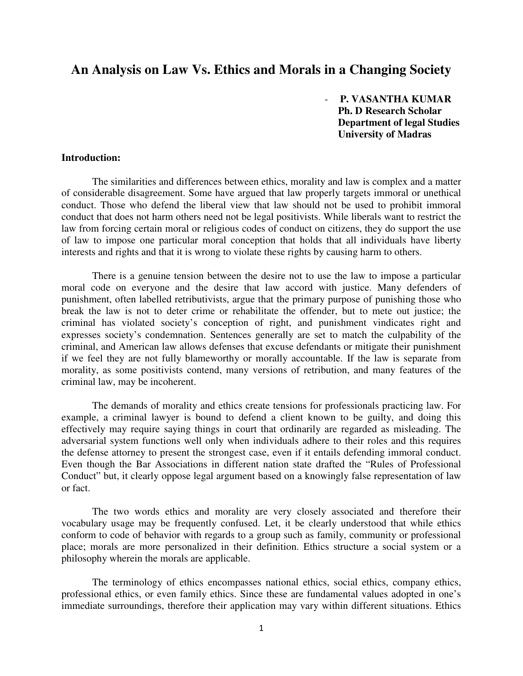# **An Analysis on Law Vs. Ethics and Morals in a Changing Society**

- **P. VASANTHA KUMAR Ph. D Research Scholar Department of legal Studies University of Madras**

#### **Introduction:**

The similarities and differences between ethics, morality and law is complex and a matter of considerable disagreement. Some have argued that law properly targets immoral or unethical conduct. Those who defend the liberal view that law should not be used to prohibit immoral conduct that does not harm others need not be legal positivists. While liberals want to restrict the law from forcing certain moral or religious codes of conduct on citizens, they do support the use of law to impose one particular moral conception that holds that all individuals have liberty interests and rights and that it is wrong to violate these rights by causing harm to others.

There is a genuine tension between the desire not to use the law to impose a particular moral code on everyone and the desire that law accord with justice. Many defenders of punishment, often labelled retributivists, argue that the primary purpose of punishing those who break the law is not to deter crime or rehabilitate the offender, but to mete out justice; the criminal has violated society's conception of right, and punishment vindicates right and expresses society's condemnation. Sentences generally are set to match the culpability of the criminal, and American law allows defenses that excuse defendants or mitigate their punishment if we feel they are not fully blameworthy or morally accountable. If the law is separate from morality, as some positivists contend, many versions of retribution, and many features of the criminal law, may be incoherent.

The demands of morality and ethics create tensions for professionals practicing law. For example, a criminal lawyer is bound to defend a client known to be guilty, and doing this effectively may require saying things in court that ordinarily are regarded as misleading. The adversarial system functions well only when individuals adhere to their roles and this requires the defense attorney to present the strongest case, even if it entails defending immoral conduct. Even though the Bar Associations in different nation state drafted the "Rules of Professional Conduct" but, it clearly oppose legal argument based on a knowingly false representation of law or fact.

The two words ethics and morality are very closely associated and therefore their vocabulary usage may be frequently confused. Let, it be clearly understood that while ethics conform to code of behavior with regards to a group such as family, community or professional place; morals are more personalized in their definition. Ethics structure a social system or a philosophy wherein the morals are applicable.

The terminology of ethics encompasses national ethics, social ethics, company ethics, professional ethics, or even family ethics. Since these are fundamental values adopted in one's immediate surroundings, therefore their application may vary within different situations. Ethics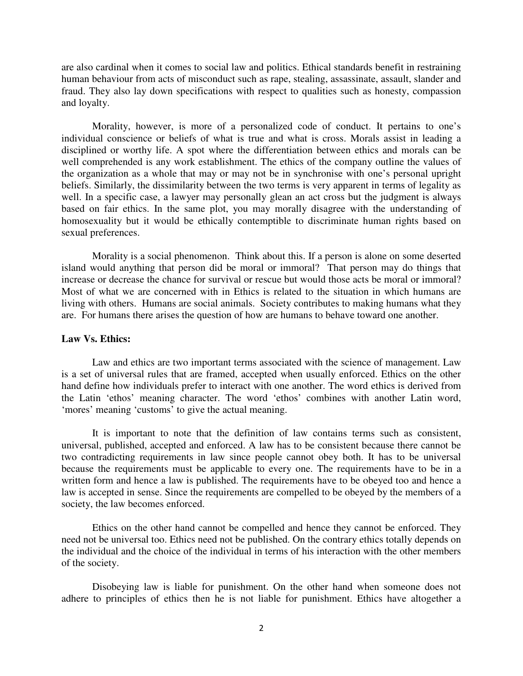human behaviour from acts of misconduct such as rape, stealing, assassinate, assault, slander and fraud. They also lay down specifications with respect to qualities such as honesty, compassion and loyalty.

are also cardinal when it comes to social bar and politics. Enhird standards benefit in restraining<br>and hoyes to social when the comes consider and the spectral and and politics and the standards benefit in restraining and Morality, however, is more of a personalized code of conduct. It pertains to one's individual conscience or beliefs of what is true and what is cross. Morals assist in leading a disciplined or worthy life. A spot where the differentiation between ethics and morals can be well comprehended is any work establishment. The ethics of the company outline the values of the organization as a whole that may or may not be in synchronise with one's personal upright beliefs. Similarly, the dissimilarity between the two terms is very apparent in terms of legality as well. In a specific case, a lawyer may personally glean an act cross but the judgment is always based on fair ethics. In the same plot, you may morally disagree with the understanding of homosexuality but it would be ethically contemptible to discriminate human rights based on sexual preferences.

Morality is a social phenomenon. Think about this. If a person is alone on some deserted island would anything that person did be moral or immoral? That person may do things that increase or decrease the chance for survival or rescue but would those acts be moral or immoral? Most of what we are concerned with in Ethics is related to the situation in which humans are living with others. Humans are social animals. Society contributes to making humans what they are. For humans there arises the question of how are humans to behave toward one another.

#### **Law Vs. Ethics:**

Law and ethics are two important terms associated with the science of management. Law is a set of universal rules that are framed, accepted when usually enforced. Ethics on the other hand define how individuals prefer to interact with one another. The word ethics is derived from the Latin 'ethos' meaning character. The word 'ethos' combines with another Latin word, 'mores' meaning 'customs' to give the actual meaning.

It is important to note that the definition of law contains terms such as consistent, universal, published, accepted and enforced. A law has to be consistent because there cannot be two contradicting requirements in law since people cannot obey both. It has to be universal because the requirements must be applicable to every one. The requirements have to be in a written form and hence a law is published. The requirements have to be obeyed too and hence a law is accepted in sense. Since the requirements are compelled to be obeyed by the members of a society, the law becomes enforced.

Ethics on the other hand cannot be compelled and hence they cannot be enforced. They need not be universal too. Ethics need not be published. On the contrary ethics totally depends on the individual and the choice of the individual in terms of his interaction with the other members of the society.

Disobeying law is liable for punishment. On the other hand when someone does not adhere to principles of ethics then he is not liable for punishment. Ethics have altogether a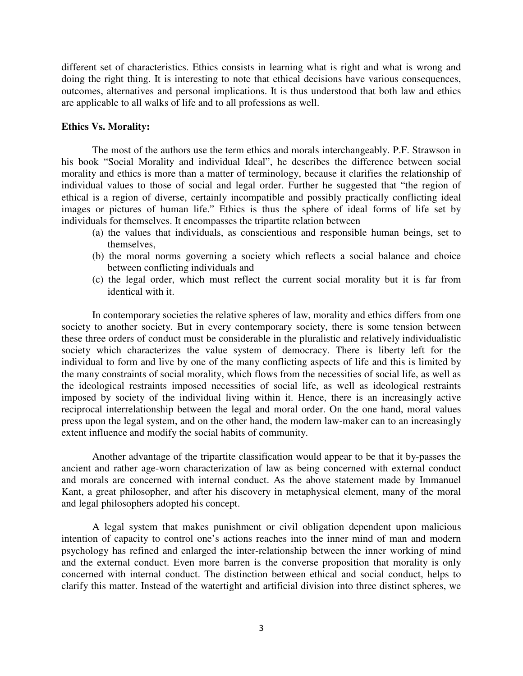different set of characteristics. Ethics consists in learning what is right and what is wrong and doing the right thing. It is interesting to note that ethical decisions have various consequences, outcomes, alternatives and personal implications. It is thus understood that both law and ethics are applicable to all walks of life and to all professions as well.

#### **Ethics Vs. Morality:**

The most of the authors use the term ethics and morals interchangeably. P.F. Strawson in his book "Social Morality and individual Ideal", he describes the difference between social morality and ethics is more than a matter of terminology, because it clarifies the relationship of individual values to those of social and legal order. Further he suggested that "the region of ethical is a region of diverse, certainly incompatible and possibly practically conflicting ideal images or pictures of human life." Ethics is thus the sphere of ideal forms of life set by individuals for themselves. It encompasses the tripartite relation between

- (a) the values that individuals, as conscientious and responsible human beings, set to themselves,
- (b) the moral norms governing a society which reflects a social balance and choice between conflicting individuals and
- (c) the legal order, which must reflect the current social morality but it is far from identical with it.

In contemporary societies the relative spheres of law, morality and ethics differs from one society to another society. But in every contemporary society, there is some tension between these three orders of conduct must be considerable in the pluralistic and relatively individualistic society which characterizes the value system of democracy. There is liberty left for the individual to form and live by one of the many conflicting aspects of life and this is limited by the many constraints of social morality, which flows from the necessities of social life, as well as the ideological restraints imposed necessities of social life, as well as ideological restraints imposed by society of the individual living within it. Hence, there is an increasingly active reciprocal interrelationship between the legal and moral order. On the one hand, moral values press upon the legal system, and on the other hand, the modern law-maker can to an increasingly extent influence and modify the social habits of community.

Another advantage of the tripartite classification would appear to be that it by-passes the ancient and rather age-worn characterization of law as being concerned with external conduct and morals are concerned with internal conduct. As the above statement made by Immanuel Kant, a great philosopher, and after his discovery in metaphysical element, many of the moral and legal philosophers adopted his concept.

A legal system that makes punishment or civil obligation dependent upon malicious intention of capacity to control one's actions reaches into the inner mind of man and modern psychology has refined and enlarged the inter-relationship between the inner working of mind and the external conduct. Even more barren is the converse proposition that morality is only concerned with internal conduct. The distinction between ethical and social conduct, helps to clarify this matter. Instead of the watertight and artificial division into three distinct spheres, we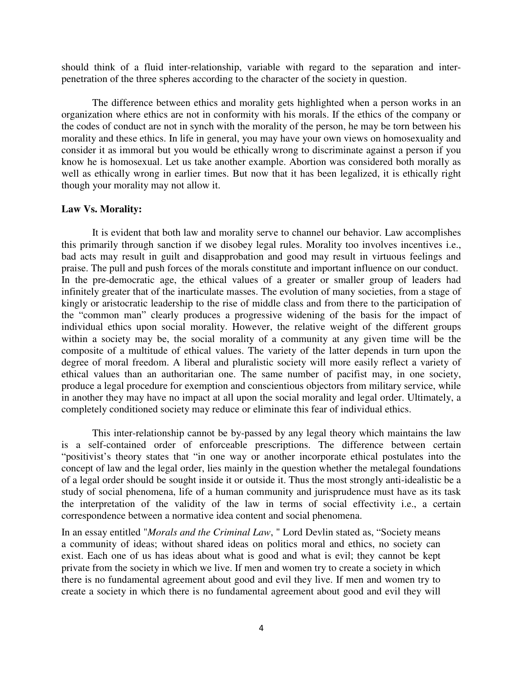should think of a fluid inter-relationship, variable with regard to the separation and interpenetration of the three spheres according to the character of the society in question.

The difference between ethics and morality gets highlighted when a person works in an organization where ethics are not in conformity with his morals. If the ethics of the company or the codes of conduct are not in synch with the morality of the person, he may be torn between his morality and these ethics. In life in general, you may have your own views on homosexuality and consider it as immoral but you would be ethically wrong to discriminate against a person if you know he is homosexual. Let us take another example. Abortion was considered both morally as well as ethically wrong in earlier times. But now that it has been legalized, it is ethically right though your morality may not allow it.

#### **Law Vs. Morality:**

It is evident that both law and morality serve to channel our behavior. Law accomplishes this primarily through sanction if we disobey legal rules. Morality too involves incentives i.e., bad acts may result in guilt and disapprobation and good may result in virtuous feelings and praise. The pull and push forces of the morals constitute and important influence on our conduct. In the pre-democratic age, the ethical values of a greater or smaller group of leaders had infinitely greater that of the inarticulate masses. The evolution of many societies, from a stage of kingly or aristocratic leadership to the rise of middle class and from there to the participation of the "common man" clearly produces a progressive widening of the basis for the impact of individual ethics upon social morality. However, the relative weight of the different groups within a society may be, the social morality of a community at any given time will be the composite of a multitude of ethical values. The variety of the latter depends in turn upon the degree of moral freedom. A liberal and pluralistic society will more easily reflect a variety of ethical values than an authoritarian one. The same number of pacifist may, in one society, produce a legal procedure for exemption and conscientious objectors from military service, while in another they may have no impact at all upon the social morality and legal order. Ultimately, a completely conditioned society may reduce or eliminate this fear of individual ethics.

This inter-relationship cannot be by-passed by any legal theory which maintains the law is a self-contained order of enforceable prescriptions. The difference between certain "positivist's theory states that "in one way or another incorporate ethical postulates into the concept of law and the legal order, lies mainly in the question whether the metalegal foundations of a legal order should be sought inside it or outside it. Thus the most strongly anti-idealistic be a study of social phenomena, life of a human community and jurisprudence must have as its task the interpretation of the validity of the law in terms of social effectivity i.e., a certain correspondence between a normative idea content and social phenomena.

In an essay entitled "*Morals and the Criminal Law*, " Lord Devlin stated as, "Society means a community of ideas; without shared ideas on politics moral and ethics, no society can exist. Each one of us has ideas about what is good and what is evil; they cannot be kept private from the society in which we live. If men and women try to create a society in which there is no fundamental agreement about good and evil they live. If men and women try to create a society in which there is no fundamental agreement about good and evil they will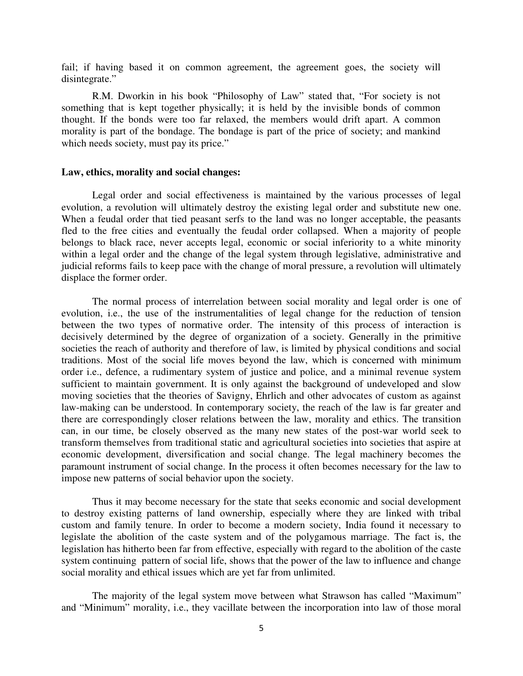fail; if having based it on common agreement, the agreement goes, the society will disintegrate."

R.M. Dworkin in his book "Philosophy of Law" stated that, "For society is not something that is kept together physically; it is held by the invisible bonds of common thought. If the bonds were too far relaxed, the members would drift apart. A common morality is part of the bondage. The bondage is part of the price of society; and mankind which needs society, must pay its price."

#### **Law, ethics, morality and social changes:**

Legal order and social effectiveness is maintained by the various processes of legal evolution, a revolution will ultimately destroy the existing legal order and substitute new one. When a feudal order that tied peasant serfs to the land was no longer acceptable, the peasants fled to the free cities and eventually the feudal order collapsed. When a majority of people belongs to black race, never accepts legal, economic or social inferiority to a white minority within a legal order and the change of the legal system through legislative, administrative and judicial reforms fails to keep pace with the change of moral pressure, a revolution will ultimately displace the former order.

The normal process of interrelation between social morality and legal order is one of evolution, i.e., the use of the instrumentalities of legal change for the reduction of tension between the two types of normative order. The intensity of this process of interaction is decisively determined by the degree of organization of a society. Generally in the primitive societies the reach of authority and therefore of law, is limited by physical conditions and social traditions. Most of the social life moves beyond the law, which is concerned with minimum order i.e., defence, a rudimentary system of justice and police, and a minimal revenue system sufficient to maintain government. It is only against the background of undeveloped and slow moving societies that the theories of Savigny, Ehrlich and other advocates of custom as against law-making can be understood. In contemporary society, the reach of the law is far greater and there are correspondingly closer relations between the law, morality and ethics. The transition can, in our time, be closely observed as the many new states of the post-war world seek to transform themselves from traditional static and agricultural societies into societies that aspire at economic development, diversification and social change. The legal machinery becomes the paramount instrument of social change. In the process it often becomes necessary for the law to impose new patterns of social behavior upon the society.

Thus it may become necessary for the state that seeks economic and social development to destroy existing patterns of land ownership, especially where they are linked with tribal custom and family tenure. In order to become a modern society, India found it necessary to legislate the abolition of the caste system and of the polygamous marriage. The fact is, the legislation has hitherto been far from effective, especially with regard to the abolition of the caste system continuing pattern of social life, shows that the power of the law to influence and change social morality and ethical issues which are yet far from unlimited.

The majority of the legal system move between what Strawson has called "Maximum" and "Minimum" morality, i.e., they vacillate between the incorporation into law of those moral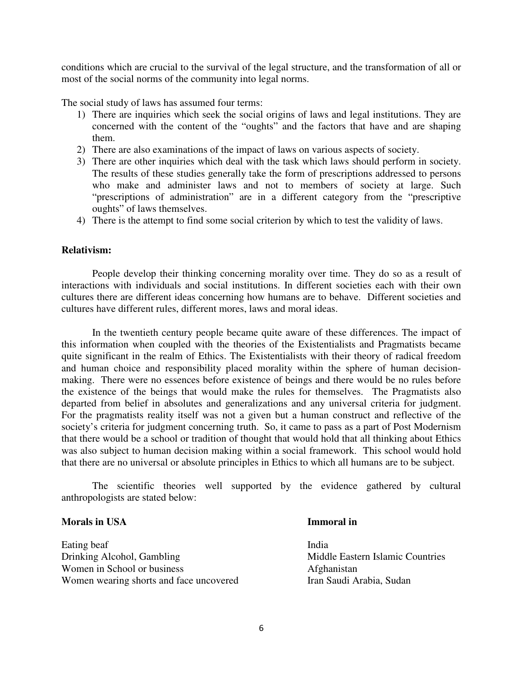conditions which are crucial to the survival of the legal structure, and the transformation of all or most of the social norms of the community into legal norms.

The social study of laws has assumed four terms:

- 1) There are inquiries which seek the social origins of laws and legal institutions. They are concerned with the content of the "oughts" and the factors that have and are shaping them.
- 2) There are also examinations of the impact of laws on various aspects of society.
- 3) There are other inquiries which deal with the task which laws should perform in society. The results of these studies generally take the form of prescriptions addressed to persons who make and administer laws and not to members of society at large. Such "prescriptions of administration" are in a different category from the "prescriptive oughts" of laws themselves.
- 4) There is the attempt to find some social criterion by which to test the validity of laws.

#### **Relativism:**

People develop their thinking concerning morality over time. They do so as a result of interactions with individuals and social institutions. In different societies each with their own cultures there are different ideas concerning how humans are to behave. Different societies and cultures have different rules, different mores, laws and moral ideas.

In the twentieth century people became quite aware of these differences. The impact of this information when coupled with the theories of the Existentialists and Pragmatists became quite significant in the realm of Ethics. The Existentialists with their theory of radical freedom and human choice and responsibility placed morality within the sphere of human decisionmaking. There were no essences before existence of beings and there would be no rules before the existence of the beings that would make the rules for themselves. The Pragmatists also departed from belief in absolutes and generalizations and any universal criteria for judgment. For the pragmatists reality itself was not a given but a human construct and reflective of the society's criteria for judgment concerning truth. So, it came to pass as a part of Post Modernism that there would be a school or tradition of thought that would hold that all thinking about Ethics was also subject to human decision making within a social framework. This school would hold that there are no universal or absolute principles in Ethics to which all humans are to be subject.

The scientific theories well supported by the evidence gathered by cultural anthropologists are stated below:

### **Morals in USA Immoral in**

Eating beaf India Drinking Alcohol, Gambling Middle Eastern Islamic Countries Women in School or business Afghanistan Women wearing shorts and face uncovered Iran Saudi Arabia, Sudan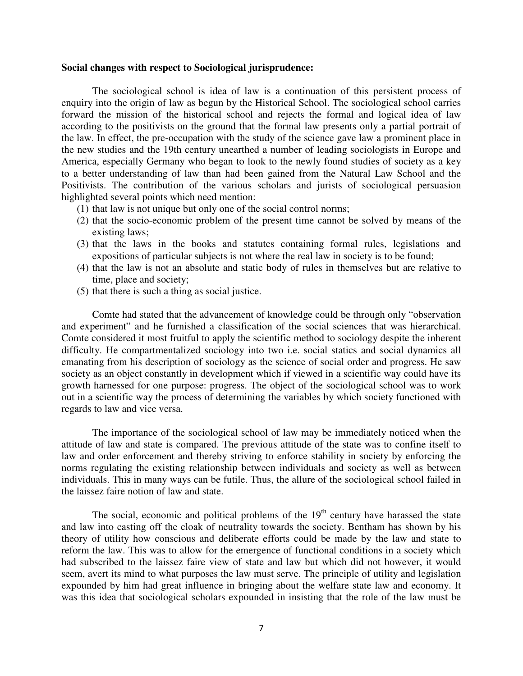#### **Social changes with respect to Sociological jurisprudence:**

The sociological school is idea of law is a continuation of this persistent process of enquiry into the origin of law as begun by the Historical School. The sociological school carries forward the mission of the historical school and rejects the formal and logical idea of law according to the positivists on the ground that the formal law presents only a partial portrait of the law. In effect, the pre-occupation with the study of the science gave law a prominent place in the new studies and the 19th century unearthed a number of leading sociologists in Europe and America, especially Germany who began to look to the newly found studies of society as a key to a better understanding of law than had been gained from the Natural Law School and the Positivists. The contribution of the various scholars and jurists of sociological persuasion highlighted several points which need mention:

- (1) that law is not unique but only one of the social control norms;
- (2) that the socio-economic problem of the present time cannot be solved by means of the existing laws;
- (3) that the laws in the books and statutes containing formal rules, legislations and expositions of particular subjects is not where the real law in society is to be found;
- (4) that the law is not an absolute and static body of rules in themselves but are relative to time, place and society;
- (5) that there is such a thing as social justice.

Comte had stated that the advancement of knowledge could be through only "observation and experiment" and he furnished a classification of the social sciences that was hierarchical. Comte considered it most fruitful to apply the scientific method to sociology despite the inherent difficulty. He compartmentalized sociology into two i.e. social statics and social dynamics all emanating from his description of sociology as the science of social order and progress. He saw society as an object constantly in development which if viewed in a scientific way could have its growth harnessed for one purpose: progress. The object of the sociological school was to work out in a scientific way the process of determining the variables by which society functioned with regards to law and vice versa.

The importance of the sociological school of law may be immediately noticed when the attitude of law and state is compared. The previous attitude of the state was to confine itself to law and order enforcement and thereby striving to enforce stability in society by enforcing the norms regulating the existing relationship between individuals and society as well as between individuals. This in many ways can be futile. Thus, the allure of the sociological school failed in the laissez faire notion of law and state.

The social, economic and political problems of the  $19<sup>th</sup>$  century have harassed the state and law into casting off the cloak of neutrality towards the society. Bentham has shown by his theory of utility how conscious and deliberate efforts could be made by the law and state to reform the law. This was to allow for the emergence of functional conditions in a society which had subscribed to the laissez faire view of state and law but which did not however, it would seem, avert its mind to what purposes the law must serve. The principle of utility and legislation expounded by him had great influence in bringing about the welfare state law and economy. It was this idea that sociological scholars expounded in insisting that the role of the law must be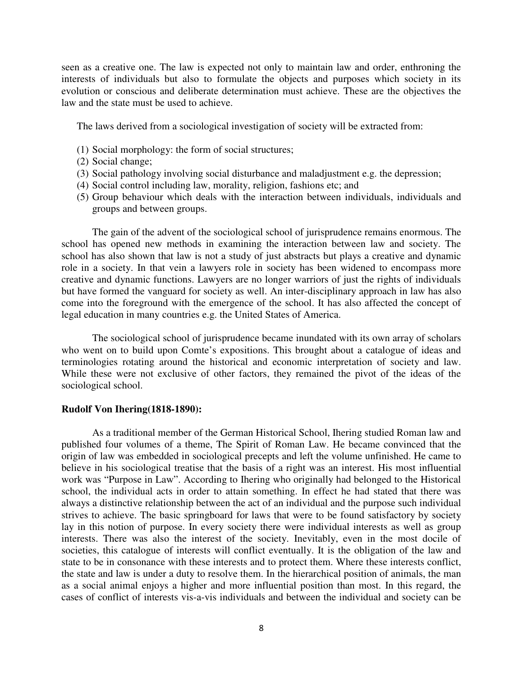seen as a creative one. The law is expected not only to maintain law and order, enthroning the interests of individuals but also to formulate the objects and purposes which society in its evolution or conscious and deliberate determination must achieve. These are the objectives the law and the state must be used to achieve.

The laws derived from a sociological investigation of society will be extracted from:

- (1) Social morphology: the form of social structures;
- (2) Social change;
- (3) Social pathology involving social disturbance and maladjustment e.g. the depression;
- (4) Social control including law, morality, religion, fashions etc; and
- (5) Group behaviour which deals with the interaction between individuals, individuals and groups and between groups.

The gain of the advent of the sociological school of jurisprudence remains enormous. The school has opened new methods in examining the interaction between law and society. The school has also shown that law is not a study of just abstracts but plays a creative and dynamic role in a society. In that vein a lawyers role in society has been widened to encompass more creative and dynamic functions. Lawyers are no longer warriors of just the rights of individuals but have formed the vanguard for society as well. An inter-disciplinary approach in law has also come into the foreground with the emergence of the school. It has also affected the concept of legal education in many countries e.g. the United States of America.

The sociological school of jurisprudence became inundated with its own array of scholars who went on to build upon Comte's expositions. This brought about a catalogue of ideas and terminologies rotating around the historical and economic interpretation of society and law. While these were not exclusive of other factors, they remained the pivot of the ideas of the sociological school.

#### **Rudolf Von Ihering(1818-1890):**

As a traditional member of the German Historical School, Ihering studied Roman law and published four volumes of a theme, The Spirit of Roman Law. He became convinced that the origin of law was embedded in sociological precepts and left the volume unfinished. He came to believe in his sociological treatise that the basis of a right was an interest. His most influential work was "Purpose in Law". According to Ihering who originally had belonged to the Historical school, the individual acts in order to attain something. In effect he had stated that there was always a distinctive relationship between the act of an individual and the purpose such individual strives to achieve. The basic springboard for laws that were to be found satisfactory by society lay in this notion of purpose. In every society there were individual interests as well as group interests. There was also the interest of the society. Inevitably, even in the most docile of societies, this catalogue of interests will conflict eventually. It is the obligation of the law and state to be in consonance with these interests and to protect them. Where these interests conflict, the state and law is under a duty to resolve them. In the hierarchical position of animals, the man as a social animal enjoys a higher and more influential position than most. In this regard, the cases of conflict of interests vis-a-vis individuals and between the individual and society can be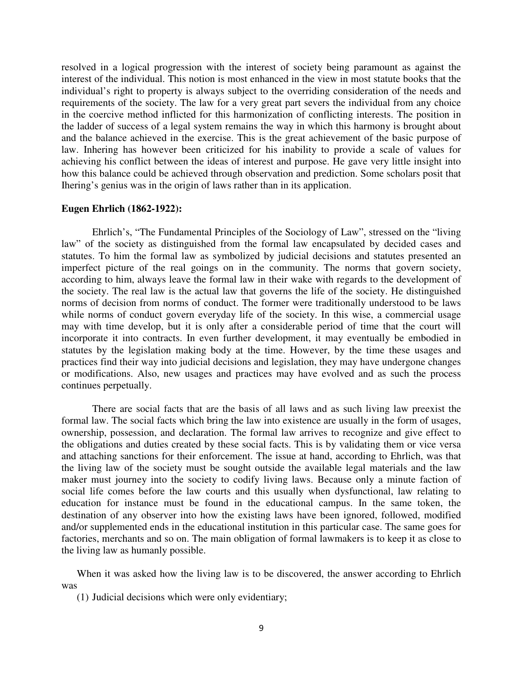resolved in a logical progression with the interest of society being paramount as against the interest of the individual. This notion is most enhanced in the view in most statute books that the individual's right to property is always subject to the overriding consideration of the needs and requirements of the society. The law for a very great part severs the individual from any choice in the coercive method inflicted for this harmonization of conflicting interests. The position in the ladder of success of a legal system remains the way in which this harmony is brought about and the balance achieved in the exercise. This is the great achievement of the basic purpose of law. Inhering has however been criticized for his inability to provide a scale of values for achieving his conflict between the ideas of interest and purpose. He gave very little insight into how this balance could be achieved through observation and prediction. Some scholars posit that Ihering's genius was in the origin of laws rather than in its application.

#### **Eugen Ehrlich (1862-1922):**

Ehrlich's, "The Fundamental Principles of the Sociology of Law", stressed on the "living law" of the society as distinguished from the formal law encapsulated by decided cases and statutes. To him the formal law as symbolized by judicial decisions and statutes presented an imperfect picture of the real goings on in the community. The norms that govern society, according to him, always leave the formal law in their wake with regards to the development of the society. The real law is the actual law that governs the life of the society. He distinguished norms of decision from norms of conduct. The former were traditionally understood to be laws while norms of conduct govern everyday life of the society. In this wise, a commercial usage may with time develop, but it is only after a considerable period of time that the court will incorporate it into contracts. In even further development, it may eventually be embodied in statutes by the legislation making body at the time. However, by the time these usages and practices find their way into judicial decisions and legislation, they may have undergone changes or modifications. Also, new usages and practices may have evolved and as such the process continues perpetually.

There are social facts that are the basis of all laws and as such living law preexist the formal law. The social facts which bring the law into existence are usually in the form of usages, ownership, possession, and declaration. The formal law arrives to recognize and give effect to the obligations and duties created by these social facts. This is by validating them or vice versa and attaching sanctions for their enforcement. The issue at hand, according to Ehrlich, was that the living law of the society must be sought outside the available legal materials and the law maker must journey into the society to codify living laws. Because only a minute faction of social life comes before the law courts and this usually when dysfunctional, law relating to education for instance must be found in the educational campus. In the same token, the destination of any observer into how the existing laws have been ignored, followed, modified and/or supplemented ends in the educational institution in this particular case. The same goes for factories, merchants and so on. The main obligation of formal lawmakers is to keep it as close to the living law as humanly possible.

When it was asked how the living law is to be discovered, the answer according to Ehrlich was

(1) Judicial decisions which were only evidentiary;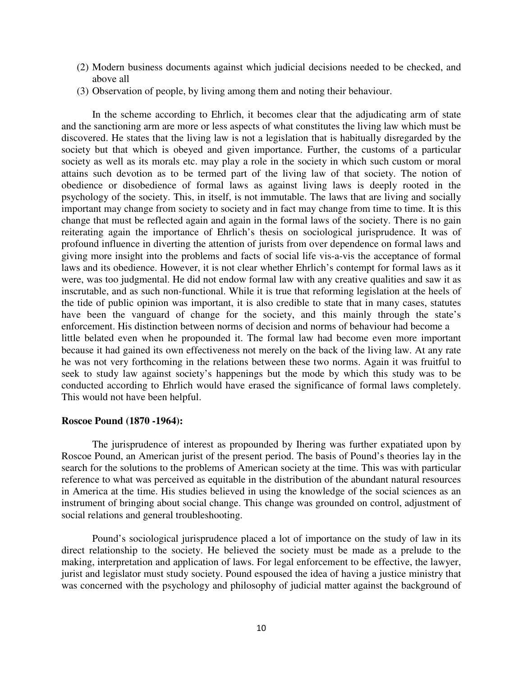- (2) Modern business documents against which judicial decisions needed to be checked, and above all
- (3) Observation of people, by living among them and noting their behaviour.

In the scheme according to Ehrlich, it becomes clear that the adjudicating arm of state and the sanctioning arm are more or less aspects of what constitutes the living law which must be discovered. He states that the living law is not a legislation that is habitually disregarded by the society but that which is obeyed and given importance. Further, the customs of a particular society as well as its morals etc. may play a role in the society in which such custom or moral attains such devotion as to be termed part of the living law of that society. The notion of obedience or disobedience of formal laws as against living laws is deeply rooted in the psychology of the society. This, in itself, is not immutable. The laws that are living and socially important may change from society to society and in fact may change from time to time. It is this change that must be reflected again and again in the formal laws of the society. There is no gain reiterating again the importance of Ehrlich's thesis on sociological jurisprudence. It was of profound influence in diverting the attention of jurists from over dependence on formal laws and giving more insight into the problems and facts of social life vis-a-vis the acceptance of formal laws and its obedience. However, it is not clear whether Ehrlich's contempt for formal laws as it were, was too judgmental. He did not endow formal law with any creative qualities and saw it as inscrutable, and as such non-functional. While it is true that reforming legislation at the heels of the tide of public opinion was important, it is also credible to state that in many cases, statutes have been the vanguard of change for the society, and this mainly through the state's enforcement. His distinction between norms of decision and norms of behaviour had become a little belated even when he propounded it. The formal law had become even more important because it had gained its own effectiveness not merely on the back of the living law. At any rate he was not very forthcoming in the relations between these two norms. Again it was fruitful to seek to study law against society's happenings but the mode by which this study was to be conducted according to Ehrlich would have erased the significance of formal laws completely. This would not have been helpful.

#### **Roscoe Pound (1870 -1964):**

The jurisprudence of interest as propounded by Ihering was further expatiated upon by Roscoe Pound, an American jurist of the present period. The basis of Pound's theories lay in the search for the solutions to the problems of American society at the time. This was with particular reference to what was perceived as equitable in the distribution of the abundant natural resources in America at the time. His studies believed in using the knowledge of the social sciences as an instrument of bringing about social change. This change was grounded on control, adjustment of social relations and general troubleshooting.

Pound's sociological jurisprudence placed a lot of importance on the study of law in its direct relationship to the society. He believed the society must be made as a prelude to the making, interpretation and application of laws. For legal enforcement to be effective, the lawyer, jurist and legislator must study society. Pound espoused the idea of having a justice ministry that was concerned with the psychology and philosophy of judicial matter against the background of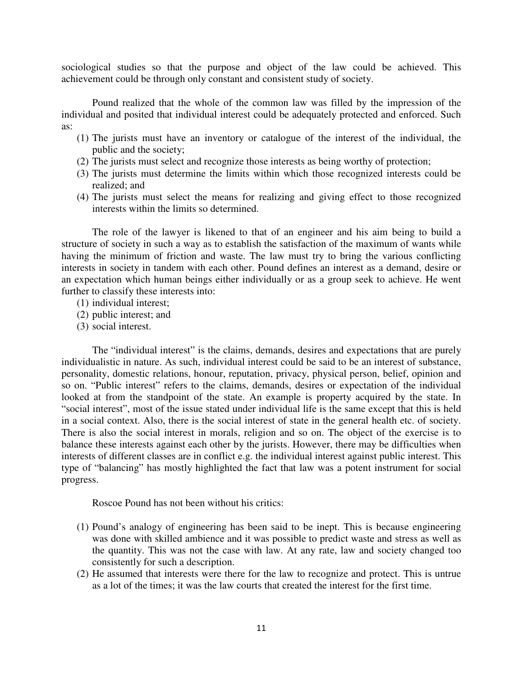sociological studies so that the purpose and object of the law could be achieved. This achievement could be through only constant and consistent study of society.

Pound realized that the whole of the common law was filled by the impression of the individual and posited that individual interest could be adequately protected and enforced. Such as:

- (1) The jurists must have an inventory or catalogue of the interest of the individual, the public and the society;
- (2) The jurists must select and recognize those interests as being worthy of protection;
- (3) The jurists must determine the limits within which those recognized interests could be realized; and
- (4) The jurists must select the means for realizing and giving effect to those recognized interests within the limits so determined.

The role of the lawyer is likened to that of an engineer and his aim being to build a structure of society in such a way as to establish the satisfaction of the maximum of wants while having the minimum of friction and waste. The law must try to bring the various conflicting interests in society in tandem with each other. Pound defines an interest as a demand, desire or an expectation which human beings either individually or as a group seek to achieve. He went further to classify these interests into:

- (1) individual interest;
- (2) public interest; and
- (3) social interest.

The "individual interest" is the claims, demands, desires and expectations that are purely individualistic in nature. As such, individual interest could be said to be an interest of substance, personality, domestic relations, honour, reputation, privacy, physical person, belief, opinion and so on. "Public interest" refers to the claims, demands, desires or expectation of the individual looked at from the standpoint of the state. An example is property acquired by the state. In "social interest", most of the issue stated under individual life is the same except that this is held in a social context. Also, there is the social interest of state in the general health etc. of society. There is also the social interest in morals, religion and so on. The object of the exercise is to balance these interests against each other by the jurists. However, there may be difficulties when interests of different classes are in conflict e.g. the individual interest against public interest. This type of "balancing" has mostly highlighted the fact that law was a potent instrument for social progress.

Roscoe Pound has not been without his critics:

- (1) Pound's analogy of engineering has been said to be inept. This is because engineering was done with skilled ambience and it was possible to predict waste and stress as well as the quantity. This was not the case with law. At any rate, law and society changed too consistently for such a description.
- (2) He assumed that interests were there for the law to recognize and protect. This is untrue as a lot of the times; it was the law courts that created the interest for the first time.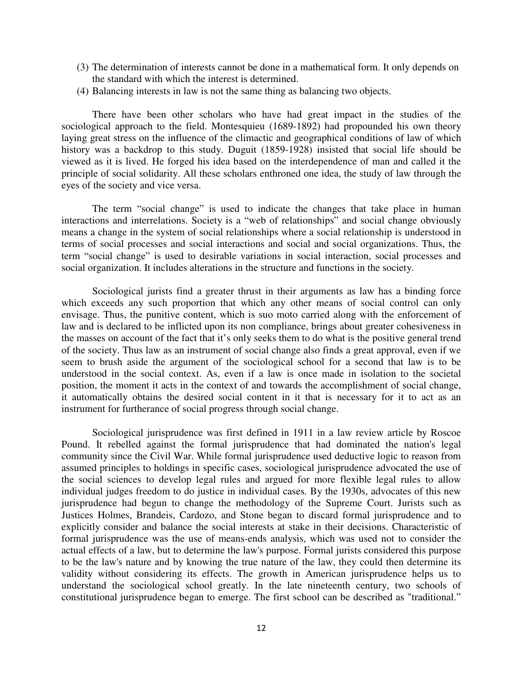- (3) The determination of interests cannot be done in a mathematical form. It only depends on the standard with which the interest is determined.
- (4) Balancing interests in law is not the same thing as balancing two objects.

There have been other scholars who have had great impact in the studies of the sociological approach to the field. Montesquieu (1689-1892) had propounded his own theory laying great stress on the influence of the climactic and geographical conditions of law of which history was a backdrop to this study. Duguit (1859-1928) insisted that social life should be viewed as it is lived. He forged his idea based on the interdependence of man and called it the principle of social solidarity. All these scholars enthroned one idea, the study of law through the eyes of the society and vice versa.

The term "social change" is used to indicate the changes that take place in human interactions and interrelations. Society is a "web of relationships" and social change obviously means a change in the system of social relationships where a social relationship is understood in terms of social processes and social interactions and social and social organizations. Thus, the term "social change" is used to desirable variations in social interaction, social processes and social organization. It includes alterations in the structure and functions in the society.

Sociological jurists find a greater thrust in their arguments as law has a binding force which exceeds any such proportion that which any other means of social control can only envisage. Thus, the punitive content, which is suo moto carried along with the enforcement of law and is declared to be inflicted upon its non compliance, brings about greater cohesiveness in the masses on account of the fact that it's only seeks them to do what is the positive general trend of the society. Thus law as an instrument of social change also finds a great approval, even if we seem to brush aside the argument of the sociological school for a second that law is to be understood in the social context. As, even if a law is once made in isolation to the societal position, the moment it acts in the context of and towards the accomplishment of social change, it automatically obtains the desired social content in it that is necessary for it to act as an instrument for furtherance of social progress through social change.

Sociological jurisprudence was first defined in 1911 in a law review article by Roscoe Pound. It rebelled against the formal jurisprudence that had dominated the nation's legal community since the Civil War. While formal jurisprudence used deductive logic to reason from assumed principles to holdings in specific cases, sociological jurisprudence advocated the use of the social sciences to develop legal rules and argued for more flexible legal rules to allow individual judges freedom to do justice in individual cases. By the 1930s, advocates of this new jurisprudence had begun to change the methodology of the Supreme Court. Jurists such as Justices Holmes, Brandeis, Cardozo, and Stone began to discard formal jurisprudence and to explicitly consider and balance the social interests at stake in their decisions. Characteristic of formal jurisprudence was the use of means-ends analysis, which was used not to consider the actual effects of a law, but to determine the law's purpose. Formal jurists considered this purpose to be the law's nature and by knowing the true nature of the law, they could then determine its validity without considering its effects. The growth in American jurisprudence helps us to understand the sociological school greatly. In the late nineteenth century, two schools of constitutional jurisprudence began to emerge. The first school can be described as "traditional."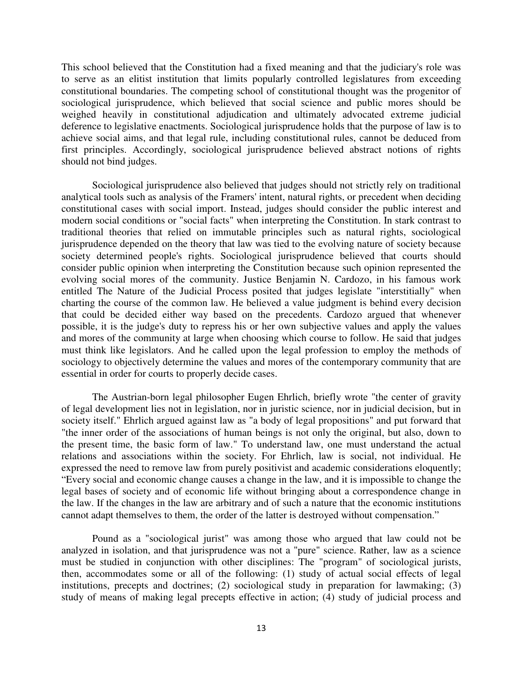This school believed that the Constitution had a fixed meaning and that the judiciary's role was to serve as an elitist institution that limits popularly controlled legislatures from exceeding constitutional boundaries. The competing school of constitutional thought was the progenitor of sociological jurisprudence, which believed that social science and public mores should be weighed heavily in constitutional adjudication and ultimately advocated extreme judicial deference to legislative enactments. Sociological jurisprudence holds that the purpose of law is to achieve social aims, and that legal rule, including constitutional rules, cannot be deduced from first principles. Accordingly, sociological jurisprudence believed abstract notions of rights should not bind judges.

Sociological jurisprudence also believed that judges should not strictly rely on traditional analytical tools such as analysis of the Framers'intent, natural rights, or precedent when deciding constitutional cases with social import. Instead, judges should consider the public interest and modern social conditions or "social facts" when interpreting the Constitution. In stark contrast to traditional theories that relied on immutable principles such as natural rights, sociological jurisprudence depended on the theory that law was tied to the evolving nature of society because society determined people's rights. Sociological jurisprudence believed that courts should consider public opinion when interpreting the Constitution because such opinion represented the evolving social mores of the community. Justice Benjamin N. Cardozo, in his famous work entitled The Nature of the Judicial Process posited that judges legislate "interstitially" when charting the course of the common law. He believed a value judgment is behind every decision that could be decided either way based on the precedents. Cardozo argued that whenever possible, it is the judge's duty to repress his or her own subjective values and apply the values and mores of the community at large when choosing which course to follow. He said that judges must think like legislators. And he called upon the legal profession to employ the methods of sociology to objectively determine the values and mores of the contemporary community that are essential in order for courts to properly decide cases.

The Austrian-born legal philosopher Eugen Ehrlich, briefly wrote "the center of gravity of legal development lies not in legislation, nor in juristic science, nor in judicial decision, but in society itself." Ehrlich argued against law as "a body of legal propositions" and put forward that "the inner order of the associations of human beings is not only the original, but also, down to the present time, the basic form of law." To understand law, one must understand the actual relations and associations within the society. For Ehrlich, law is social, not individual. He expressed the need to remove law from purely positivist and academic considerations eloquently; "Every social and economic change causes a change in the law, and it is impossible to change the legal bases of society and of economic life without bringing about a correspondence change in the law. If the changes in the law are arbitrary and of such a nature that the economic institutions cannot adapt themselves to them, the order of the latter is destroyed without compensation."

Pound as a "sociological jurist" was among those who argued that law could not be analyzed in isolation, and that jurisprudence was not a "pure" science. Rather, law as a science must be studied in conjunction with other disciplines: The "program" of sociological jurists, then, accommodates some or all of the following: (1) study of actual social effects of legal institutions, precepts and doctrines; (2) sociological study in preparation for lawmaking; (3) study of means of making legal precepts effective in action; (4) study of judicial process and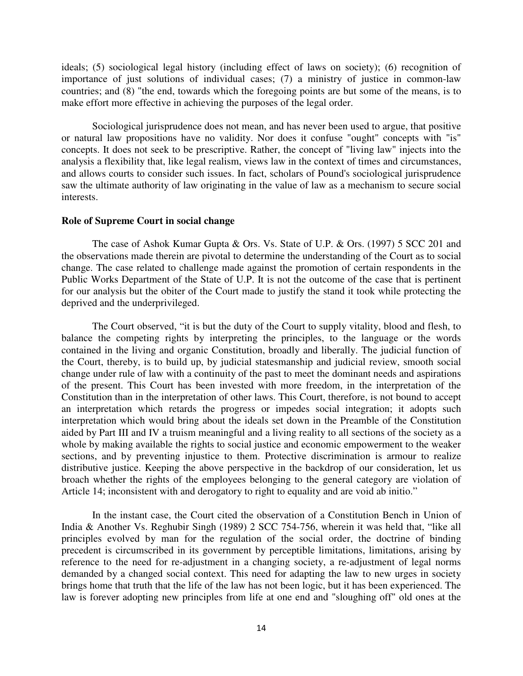ideals; (5) sociological legal history (including effect of laws on society); (6) recognition of importance of just solutions of individual cases; (7) a ministry of justice in common-law countries; and (8) "the end, towards which the foregoing points are but some of the means, is to make effort more effective in achieving the purposes of the legal order.

Sociological jurisprudence does not mean, and has never been used to argue, that positive or natural law propositions have no validity. Nor does it confuse "ought" concepts with "is" concepts. It does not seek to be prescriptive. Rather, the concept of "living law" injects into the analysis a flexibility that, like legal realism, views law in the context of times and circumstances, and allows courts to consider such issues. In fact, scholars of Pound's sociological jurisprudence saw the ultimate authority of law originating in the value of law as a mechanism to secure social interests.

#### **Role of Supreme Court in social change**

The case of Ashok Kumar Gupta & Ors. Vs. State of U.P. & Ors. (1997) 5 SCC 201 and the observations made therein are pivotal to determine the understanding of the Court as to social change. The case related to challenge made against the promotion of certain respondents in the Public Works Department of the State of U.P. It is not the outcome of the case that is pertinent for our analysis but the obiter of the Court made to justify the stand it took while protecting the deprived and the underprivileged.

The Court observed, "it is but the duty of the Court to supply vitality, blood and flesh, to balance the competing rights by interpreting the principles, to the language or the words contained in the living and organic Constitution, broadly and liberally. The judicial function of the Court, thereby, is to build up, by judicial statesmanship and judicial review, smooth social change under rule of law with a continuity of the past to meet the dominant needs and aspirations of the present. This Court has been invested with more freedom, in the interpretation of the Constitution than in the interpretation of other laws. This Court, therefore, is not bound to accept an interpretation which retards the progress or impedes social integration; it adopts such interpretation which would bring about the ideals set down in the Preamble of the Constitution aided by Part III and IV a truism meaningful and a living reality to all sections of the society as a whole by making available the rights to social justice and economic empowerment to the weaker sections, and by preventing injustice to them. Protective discrimination is armour to realize distributive justice. Keeping the above perspective in the backdrop of our consideration, let us broach whether the rights of the employees belonging to the general category are violation of Article 14; inconsistent with and derogatory to right to equality and are void ab initio."

In the instant case, the Court cited the observation of a Constitution Bench in Union of India & Another Vs. Reghubir Singh (1989) 2 SCC 754-756, wherein it was held that, "like all principles evolved by man for the regulation of the social order, the doctrine of binding precedent is circumscribed in its government by perceptible limitations, limitations, arising by reference to the need for re-adjustment in a changing society, a re-adjustment of legal norms demanded by a changed social context. This need for adapting the law to new urges in society brings home that truth that the life of the law has not been logic, but it has been experienced. The law is forever adopting new principles from life at one end and "sloughing off" old ones at the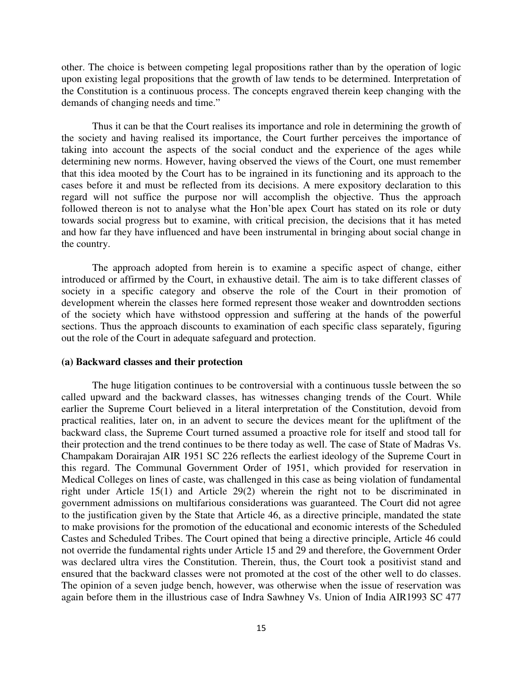other. The choice is between competing legal propositions rather than by the operation of logic upon existing legal propositions that the growth of law tends to be determined. Interpretation of the Constitution is a continuous process. The concepts engraved therein keep changing with the demands of changing needs and time."

Thus it can be that the Court realises its importance and role in determining the growth of the society and having realised its importance, the Court further perceives the importance of taking into account the aspects of the social conduct and the experience of the ages while determining new norms. However, having observed the views of the Court, one must remember that this idea mooted by the Court has to be ingrained in its functioning and its approach to the cases before it and must be reflected from its decisions. A mere expository declaration to this regard will not suffice the purpose nor will accomplish the objective. Thus the approach followed thereon is not to analyse what the Hon'ble apex Court has stated on its role or duty towards social progress but to examine, with critical precision, the decisions that it has meted and how far they have influenced and have been instrumental in bringing about social change in the country.

The approach adopted from herein is to examine a specific aspect of change, either introduced or affirmed by the Court, in exhaustive detail. The aim is to take different classes of society in a specific category and observe the role of the Court in their promotion of development wherein the classes here formed represent those weaker and downtrodden sections of the society which have withstood oppression and suffering at the hands of the powerful sections. Thus the approach discounts to examination of each specific class separately, figuring out the role of the Court in adequate safeguard and protection.

#### **(a) Backward classes and their protection**

The huge litigation continues to be controversial with a continuous tussle between the so called upward and the backward classes, has witnesses changing trends of the Court. While earlier the Supreme Court believed in a literal interpretation of the Constitution, devoid from practical realities, later on, in an advent to secure the devices meant for the upliftment of the backward class, the Supreme Court turned assumed a proactive role for itself and stood tall for their protection and the trend continues to be there today as well. The case of State of Madras Vs. Champakam Dorairajan AIR 1951 SC 226 reflects the earliest ideology of the Supreme Court in this regard. The Communal Government Order of 1951, which provided for reservation in Medical Colleges on lines of caste, was challenged in this case as being violation of fundamental right under Article 15(1) and Article 29(2) wherein the right not to be discriminated in government admissions on multifarious considerations was guaranteed. The Court did not agree to the justification given by the State that Article 46, as a directive principle, mandated the state to make provisions for the promotion of the educational and economic interests of the Scheduled Castes and Scheduled Tribes. The Court opined that being a directive principle, Article 46 could not override the fundamental rights under Article 15 and 29 and therefore, the Government Order was declared ultra vires the Constitution. Therein, thus, the Court took a positivist stand and ensured that the backward classes were not promoted at the cost of the other well to do classes. The opinion of a seven judge bench, however, was otherwise when the issue of reservation was again before them in the illustrious case of Indra Sawhney Vs. Union of India AIR1993 SC 477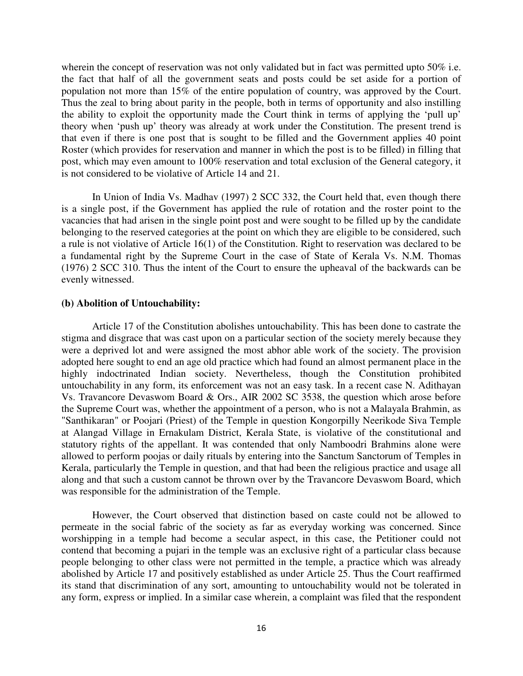wherein the concept of reservation was not only validated but in fact was permitted upto 50% i.e. the fact that half of all the government seats and posts could be set aside for a portion of population not more than 15% of the entire population of country, was approved by the Court. Thus the zeal to bring about parity in the people, both in terms of opportunity and also instilling the ability to exploit the opportunity made the Court think in terms of applying the 'pull up' theory when 'push up' theory was already at work under the Constitution. The present trend is that even if there is one post that is sought to be filled and the Government applies 40 point Roster (which provides for reservation and manner in which the post is to be filled) in filling that post, which may even amount to 100% reservation and total exclusion of the General category, it is not considered to be violative of Article 14 and 21.

In Union of India Vs. Madhav (1997) 2 SCC 332, the Court held that, even though there is a single post, if the Government has applied the rule of rotation and the roster point to the vacancies that had arisen in the single point post and were sought to be filled up by the candidate belonging to the reserved categories at the point on which they are eligible to be considered, such a rule is not violative of Article 16(1) of the Constitution. Right to reservation was declared to be a fundamental right by the Supreme Court in the case of State of Kerala Vs. N.M. Thomas (1976) 2 SCC 310. Thus the intent of the Court to ensure the upheaval of the backwards can be evenly witnessed.

#### **(b) Abolition of Untouchability:**

Article 17 of the Constitution abolishes untouchability. This has been done to castrate the stigma and disgrace that was cast upon on a particular section of the society merely because they were a deprived lot and were assigned the most abhor able work of the society. The provision adopted here sought to end an age old practice which had found an almost permanent place in the highly indoctrinated Indian society. Nevertheless, though the Constitution prohibited untouchability in any form, its enforcement was not an easy task. In a recent case N. Adithayan Vs. Travancore Devaswom Board & Ors., AIR 2002 SC 3538, the question which arose before the Supreme Court was, whether the appointment of a person, who is not a Malayala Brahmin, as "Santhikaran" or Poojari (Priest) of the Temple in question Kongorpilly Neerikode Siva Temple at Alangad Village in Ernakulam District, Kerala State, is violative of the constitutional and statutory rights of the appellant. It was contended that only Namboodri Brahmins alone were allowed to perform poojas or daily rituals by entering into the Sanctum Sanctorum of Temples in Kerala, particularly the Temple in question, and that had been the religious practice and usage all along and that such a custom cannot be thrown over by the Travancore Devaswom Board, which was responsible for the administration of the Temple.

However, the Court observed that distinction based on caste could not be allowed to permeate in the social fabric of the society as far as everyday working was concerned. Since worshipping in a temple had become a secular aspect, in this case, the Petitioner could not contend that becoming a pujari in the temple was an exclusive right of a particular class because people belonging to other class were not permitted in the temple, a practice which was already abolished by Article 17 and positively established as under Article 25. Thus the Court reaffirmed its stand that discrimination of any sort, amounting to untouchability would not be tolerated in any form, express or implied. In a similar case wherein, a complaint was filed that the respondent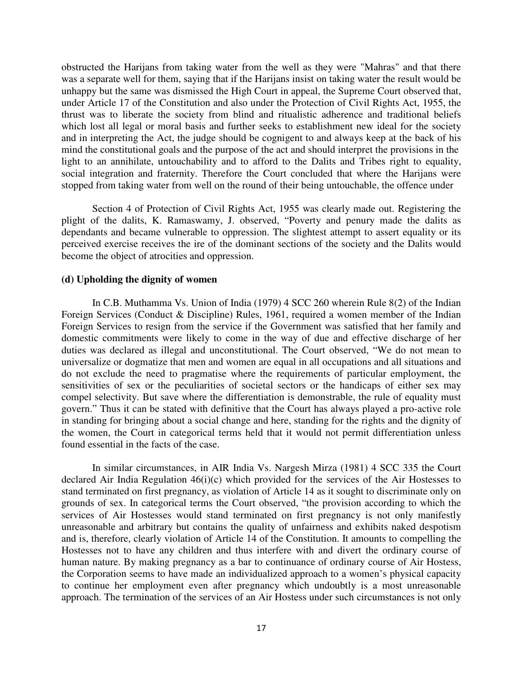obstructed the Harijans from taking water from the well as they were "Mahras" and that there was a separate well for them, saying that if the Harijans insist on taking water the result would be unhappy but the same was dismissed the High Court in appeal, the Supreme Court observed that, under Article 17 of the Constitution and also under the Protection of Civil Rights Act, 1955, the thrust was to liberate the society from blind and ritualistic adherence and traditional beliefs which lost all legal or moral basis and further seeks to establishment new ideal for the society and in interpreting the Act, the judge should be cognigent to and always keep at the back of his mind the constitutional goals and the purpose of the act and should interpret the provisions in the light to an annihilate, untouchability and to afford to the Dalits and Tribes right to equality, social integration and fraternity. Therefore the Court concluded that where the Harijans were stopped from taking water from well on the round of their being untouchable, the offence under

Section 4 of Protection of Civil Rights Act, 1955 was clearly made out. Registering the plight of the dalits, K. Ramaswamy, J. observed, "Poverty and penury made the dalits as dependants and became vulnerable to oppression. The slightest attempt to assert equality or its perceived exercise receives the ire of the dominant sections of the society and the Dalits would become the object of atrocities and oppression.

#### **(d) Upholding the dignity of women**

In C.B. Muthamma Vs. Union of India (1979) 4 SCC 260 wherein Rule 8(2) of the Indian Foreign Services (Conduct & Discipline) Rules, 1961, required a women member of the Indian Foreign Services to resign from the service if the Government was satisfied that her family and domestic commitments were likely to come in the way of due and effective discharge of her duties was declared as illegal and unconstitutional. The Court observed, "We do not mean to universalize or dogmatize that men and women are equal in all occupations and all situations and do not exclude the need to pragmatise where the requirements of particular employment, the sensitivities of sex or the peculiarities of societal sectors or the handicaps of either sex may compel selectivity. But save where the differentiation is demonstrable, the rule of equality must govern." Thus it can be stated with definitive that the Court has always played a pro-active role in standing for bringing about a social change and here, standing for the rights and the dignity of the women, the Court in categorical terms held that it would not permit differentiation unless found essential in the facts of the case.

In similar circumstances, in AIR India Vs. Nargesh Mirza (1981) 4 SCC 335 the Court declared Air India Regulation 46(i)(c) which provided for the services of the Air Hostesses to stand terminated on first pregnancy, as violation of Article 14 as it sought to discriminate only on grounds of sex. In categorical terms the Court observed, "the provision according to which the services of Air Hostesses would stand terminated on first pregnancy is not only manifestly unreasonable and arbitrary but contains the quality of unfairness and exhibits naked despotism and is, therefore, clearly violation of Article 14 of the Constitution. It amounts to compelling the Hostesses not to have any children and thus interfere with and divert the ordinary course of human nature. By making pregnancy as a bar to continuance of ordinary course of Air Hostess, the Corporation seems to have made an individualized approach to a women's physical capacity to continue her employment even after pregnancy which undoubtly is a most unreasonable approach. The termination of the services of an Air Hostess under such circumstances is not only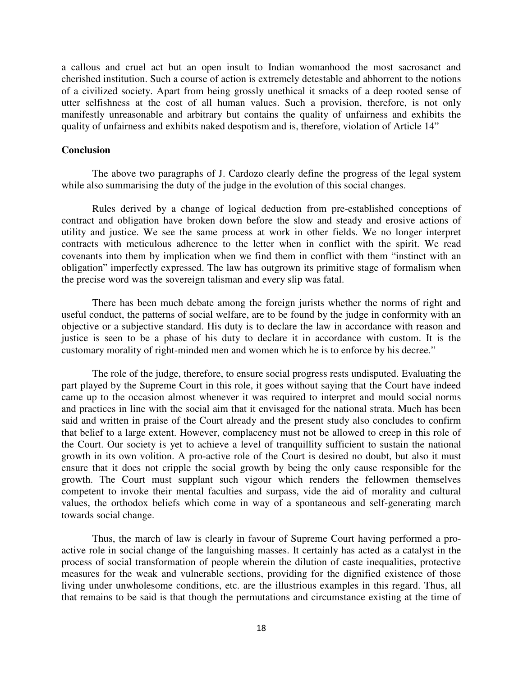a callous and cruel act but an open insult to Indian womanhood the most sacrosanct and cherished institution. Such a course of action is extremely detestable and abhorrent to the notions of a civilized society. Apart from being grossly unethical it smacks of a deep rooted sense of utter selfishness at the cost of all human values. Such a provision, therefore, is not only manifestly unreasonable and arbitrary but contains the quality of unfairness and exhibits the quality of unfairness and exhibits naked despotism and is, therefore, violation of Article 14"

### **Conclusion**

The above two paragraphs of J. Cardozo clearly define the progress of the legal system while also summarising the duty of the judge in the evolution of this social changes.

Rules derived by a change of logical deduction from pre-established conceptions of contract and obligation have broken down before the slow and steady and erosive actions of utility and justice. We see the same process at work in other fields. We no longer interpret contracts with meticulous adherence to the letter when in conflict with the spirit. We read covenants into them by implication when we find them in conflict with them "instinct with an obligation" imperfectly expressed. The law has outgrown its primitive stage of formalism when the precise word was the sovereign talisman and every slip was fatal.

There has been much debate among the foreign jurists whether the norms of right and useful conduct, the patterns of social welfare, are to be found by the judge in conformity with an objective or a subjective standard. His duty is to declare the law in accordance with reason and justice is seen to be a phase of his duty to declare it in accordance with custom. It is the customary morality of right-minded men and women which he is to enforce by his decree."

The role of the judge, therefore, to ensure social progress rests undisputed. Evaluating the part played by the Supreme Court in this role, it goes without saying that the Court have indeed came up to the occasion almost whenever it was required to interpret and mould social norms and practices in line with the social aim that it envisaged for the national strata. Much has been said and written in praise of the Court already and the present study also concludes to confirm that belief to a large extent. However, complacency must not be allowed to creep in this role of the Court. Our society is yet to achieve a level of tranquillity sufficient to sustain the national growth in its own volition. A pro-active role of the Court is desired no doubt, but also it must ensure that it does not cripple the social growth by being the only cause responsible for the growth. The Court must supplant such vigour which renders the fellowmen themselves competent to invoke their mental faculties and surpass, vide the aid of morality and cultural values, the orthodox beliefs which come in way of a spontaneous and self-generating march towards social change.

Thus, the march of law is clearly in favour of Supreme Court having performed a proactive role in social change of the languishing masses. It certainly has acted as a catalyst in the process of social transformation of people wherein the dilution of caste inequalities, protective measures for the weak and vulnerable sections, providing for the dignified existence of those living under unwholesome conditions, etc. are the illustrious examples in this regard. Thus, all that remains to be said is that though the permutations and circumstance existing at the time of